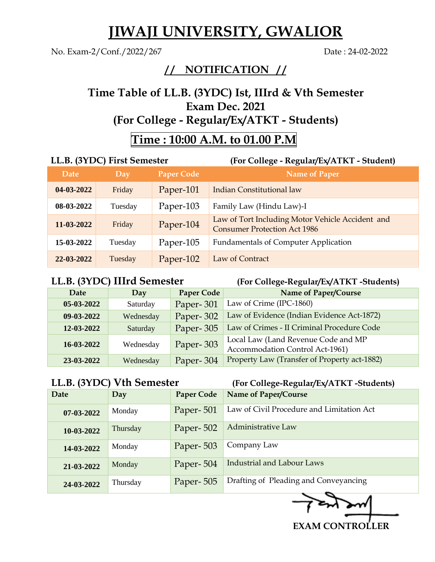# **JIWAJI UNIVERSITY, GWALIOR**

No. Exam-2/Conf./2022/267 Date : 24-02-2022

### **/ / NOTIFICATION / /**

### **Time Table of LL.B. (3YDC) Ist, IIIrd & Vth Semester Exam Dec. 2021 (For College - Regular/Ex/ATKT - Students)**

## **Time : 10:00 A.M. to 01.00 P.M**

| LL.B. (3YDC) First Semester |         |                   | (For College - Regular/Ex/ATKT - Student)                                               |
|-----------------------------|---------|-------------------|-----------------------------------------------------------------------------------------|
| Date                        | Day     | <b>Paper Code</b> | <b>Name of Paper</b>                                                                    |
| 04-03-2022                  | Friday  | Paper-101         | Indian Constitutional law                                                               |
| 08-03-2022                  | Tuesday | Paper-103         | Family Law (Hindu Law)-I                                                                |
| 11-03-2022                  | Friday  | Paper-104         | Law of Tort Including Motor Vehicle Accident and<br><b>Consumer Protection Act 1986</b> |
| 15-03-2022                  | Tuesday | Paper-105         | <b>Fundamentals of Computer Application</b>                                             |
| 22-03-2022                  | Tuesday | Paper-102         | Law of Contract                                                                         |

**LL.B. (3YDC) IIIrd Semester (For College-Regular/Ex/ATKT -Students)** 

| Date       | Day       | <b>Paper Code</b> | Name of Paper/Course                                                   |
|------------|-----------|-------------------|------------------------------------------------------------------------|
| 05-03-2022 | Saturday  | Paper-301         | Law of Crime (IPC-1860)                                                |
| 09-03-2022 | Wednesday | Paper-302         | Law of Evidence (Indian Evidence Act-1872)                             |
| 12-03-2022 | Saturday  | Paper-305         | Law of Crimes - II Criminal Procedure Code                             |
| 16-03-2022 | Wednesday | Paper-303         | Local Law (Land Revenue Code and MP<br>Accommodation Control Act-1961) |
| 23-03-2022 | Wednesday | Paper-304         | Property Law (Transfer of Property act-1882)                           |

**LL.B. (3YDC) Vth Semester (For College-Regular/Ex/ATKT -Students)** 

| Date       | Day      | <b>Paper Code</b> | Name of Paper/Course                      |
|------------|----------|-------------------|-------------------------------------------|
| 07-03-2022 | Monday   | Paper-501         | Law of Civil Procedure and Limitation Act |
| 10-03-2022 | Thursday | Paper-502         | Administrative Law                        |
| 14-03-2022 | Monday   | Paper-503         | Company Law                               |
| 21-03-2022 | Monday   | Paper-504         | <b>Industrial and Labour Laws</b>         |
| 24-03-2022 | Thursday | Paper-505         | Drafting of Pleading and Conveyancing     |

 **EXAM CONTROLLER**